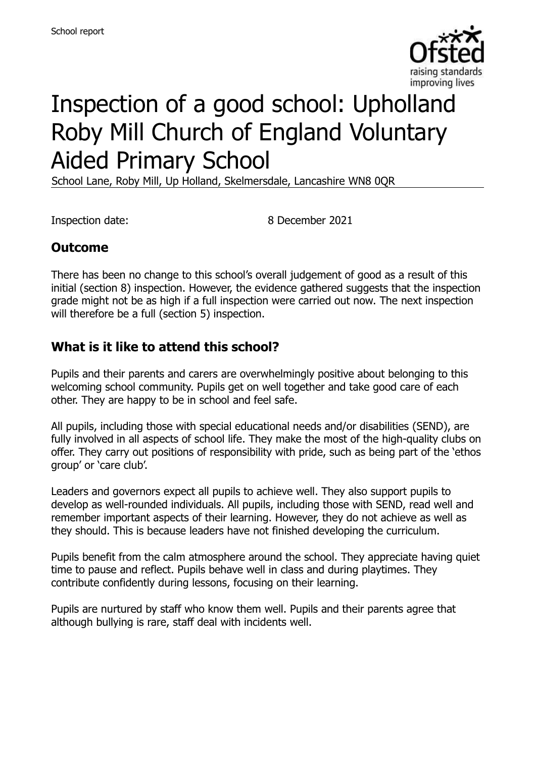

# Inspection of a good school: Upholland Roby Mill Church of England Voluntary Aided Primary School

School Lane, Roby Mill, Up Holland, Skelmersdale, Lancashire WN8 0QR

Inspection date: 8 December 2021

#### **Outcome**

There has been no change to this school's overall judgement of good as a result of this initial (section 8) inspection. However, the evidence gathered suggests that the inspection grade might not be as high if a full inspection were carried out now. The next inspection will therefore be a full (section 5) inspection.

#### **What is it like to attend this school?**

Pupils and their parents and carers are overwhelmingly positive about belonging to this welcoming school community. Pupils get on well together and take good care of each other. They are happy to be in school and feel safe.

All pupils, including those with special educational needs and/or disabilities (SEND), are fully involved in all aspects of school life. They make the most of the high-quality clubs on offer. They carry out positions of responsibility with pride, such as being part of the 'ethos group' or 'care club'.

Leaders and governors expect all pupils to achieve well. They also support pupils to develop as well-rounded individuals. All pupils, including those with SEND, read well and remember important aspects of their learning. However, they do not achieve as well as they should. This is because leaders have not finished developing the curriculum.

Pupils benefit from the calm atmosphere around the school. They appreciate having quiet time to pause and reflect. Pupils behave well in class and during playtimes. They contribute confidently during lessons, focusing on their learning.

Pupils are nurtured by staff who know them well. Pupils and their parents agree that although bullying is rare, staff deal with incidents well.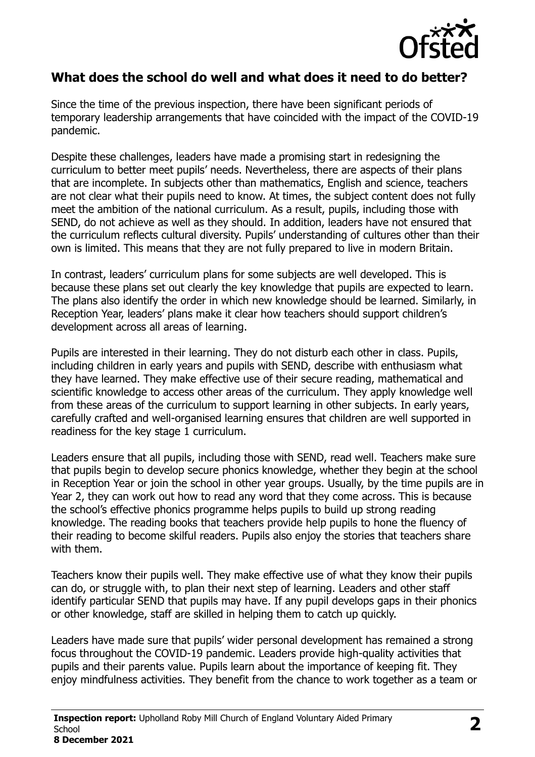

#### **What does the school do well and what does it need to do better?**

Since the time of the previous inspection, there have been significant periods of temporary leadership arrangements that have coincided with the impact of the COVID-19 pandemic.

Despite these challenges, leaders have made a promising start in redesigning the curriculum to better meet pupils' needs. Nevertheless, there are aspects of their plans that are incomplete. In subjects other than mathematics, English and science, teachers are not clear what their pupils need to know. At times, the subject content does not fully meet the ambition of the national curriculum. As a result, pupils, including those with SEND, do not achieve as well as they should. In addition, leaders have not ensured that the curriculum reflects cultural diversity. Pupils' understanding of cultures other than their own is limited. This means that they are not fully prepared to live in modern Britain.

In contrast, leaders' curriculum plans for some subjects are well developed. This is because these plans set out clearly the key knowledge that pupils are expected to learn. The plans also identify the order in which new knowledge should be learned. Similarly, in Reception Year, leaders' plans make it clear how teachers should support children's development across all areas of learning.

Pupils are interested in their learning. They do not disturb each other in class. Pupils, including children in early years and pupils with SEND, describe with enthusiasm what they have learned. They make effective use of their secure reading, mathematical and scientific knowledge to access other areas of the curriculum. They apply knowledge well from these areas of the curriculum to support learning in other subjects. In early years, carefully crafted and well-organised learning ensures that children are well supported in readiness for the key stage 1 curriculum.

Leaders ensure that all pupils, including those with SEND, read well. Teachers make sure that pupils begin to develop secure phonics knowledge, whether they begin at the school in Reception Year or join the school in other year groups. Usually, by the time pupils are in Year 2, they can work out how to read any word that they come across. This is because the school's effective phonics programme helps pupils to build up strong reading knowledge. The reading books that teachers provide help pupils to hone the fluency of their reading to become skilful readers. Pupils also enjoy the stories that teachers share with them.

Teachers know their pupils well. They make effective use of what they know their pupils can do, or struggle with, to plan their next step of learning. Leaders and other staff identify particular SEND that pupils may have. If any pupil develops gaps in their phonics or other knowledge, staff are skilled in helping them to catch up quickly.

Leaders have made sure that pupils' wider personal development has remained a strong focus throughout the COVID-19 pandemic. Leaders provide high-quality activities that pupils and their parents value. Pupils learn about the importance of keeping fit. They enjoy mindfulness activities. They benefit from the chance to work together as a team or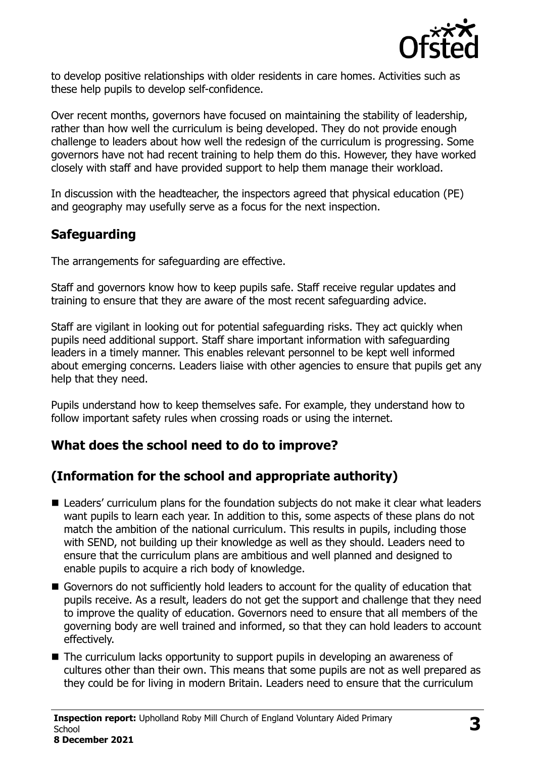

to develop positive relationships with older residents in care homes. Activities such as these help pupils to develop self-confidence.

Over recent months, governors have focused on maintaining the stability of leadership, rather than how well the curriculum is being developed. They do not provide enough challenge to leaders about how well the redesign of the curriculum is progressing. Some governors have not had recent training to help them do this. However, they have worked closely with staff and have provided support to help them manage their workload.

In discussion with the headteacher, the inspectors agreed that physical education (PE) and geography may usefully serve as a focus for the next inspection.

# **Safeguarding**

The arrangements for safeguarding are effective.

Staff and governors know how to keep pupils safe. Staff receive regular updates and training to ensure that they are aware of the most recent safeguarding advice.

Staff are vigilant in looking out for potential safeguarding risks. They act quickly when pupils need additional support. Staff share important information with safeguarding leaders in a timely manner. This enables relevant personnel to be kept well informed about emerging concerns. Leaders liaise with other agencies to ensure that pupils get any help that they need.

Pupils understand how to keep themselves safe. For example, they understand how to follow important safety rules when crossing roads or using the internet.

#### **What does the school need to do to improve?**

# **(Information for the school and appropriate authority)**

- Leaders' curriculum plans for the foundation subjects do not make it clear what leaders want pupils to learn each year. In addition to this, some aspects of these plans do not match the ambition of the national curriculum. This results in pupils, including those with SEND, not building up their knowledge as well as they should. Leaders need to ensure that the curriculum plans are ambitious and well planned and designed to enable pupils to acquire a rich body of knowledge.
- Governors do not sufficiently hold leaders to account for the quality of education that pupils receive. As a result, leaders do not get the support and challenge that they need to improve the quality of education. Governors need to ensure that all members of the governing body are well trained and informed, so that they can hold leaders to account effectively.
- The curriculum lacks opportunity to support pupils in developing an awareness of cultures other than their own. This means that some pupils are not as well prepared as they could be for living in modern Britain. Leaders need to ensure that the curriculum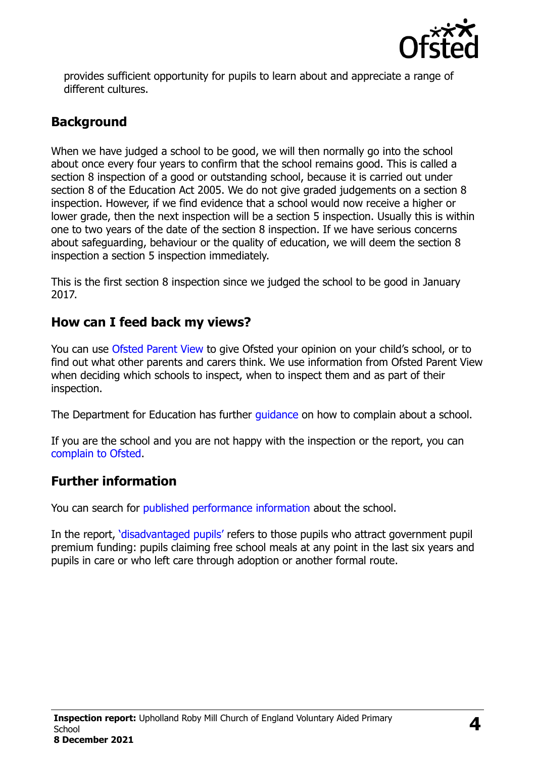

provides sufficient opportunity for pupils to learn about and appreciate a range of different cultures.

# **Background**

When we have judged a school to be good, we will then normally go into the school about once every four years to confirm that the school remains good. This is called a section 8 inspection of a good or outstanding school, because it is carried out under section 8 of the Education Act 2005. We do not give graded judgements on a section 8 inspection. However, if we find evidence that a school would now receive a higher or lower grade, then the next inspection will be a section 5 inspection. Usually this is within one to two years of the date of the section 8 inspection. If we have serious concerns about safeguarding, behaviour or the quality of education, we will deem the section 8 inspection a section 5 inspection immediately.

This is the first section 8 inspection since we judged the school to be good in January 2017.

#### **How can I feed back my views?**

You can use [Ofsted Parent View](https://parentview.ofsted.gov.uk/) to give Ofsted your opinion on your child's school, or to find out what other parents and carers think. We use information from Ofsted Parent View when deciding which schools to inspect, when to inspect them and as part of their inspection.

The Department for Education has further [guidance](http://www.gov.uk/complain-about-school) on how to complain about a school.

If you are the school and you are not happy with the inspection or the report, you can [complain to Ofsted.](https://www.gov.uk/complain-ofsted-report)

# **Further information**

You can search for [published performance information](http://www.compare-school-performance.service.gov.uk/) about the school.

In the report, '[disadvantaged pupils](http://www.gov.uk/guidance/pupil-premium-information-for-schools-and-alternative-provision-settings)' refers to those pupils who attract government pupil premium funding: pupils claiming free school meals at any point in the last six years and pupils in care or who left care through adoption or another formal route.

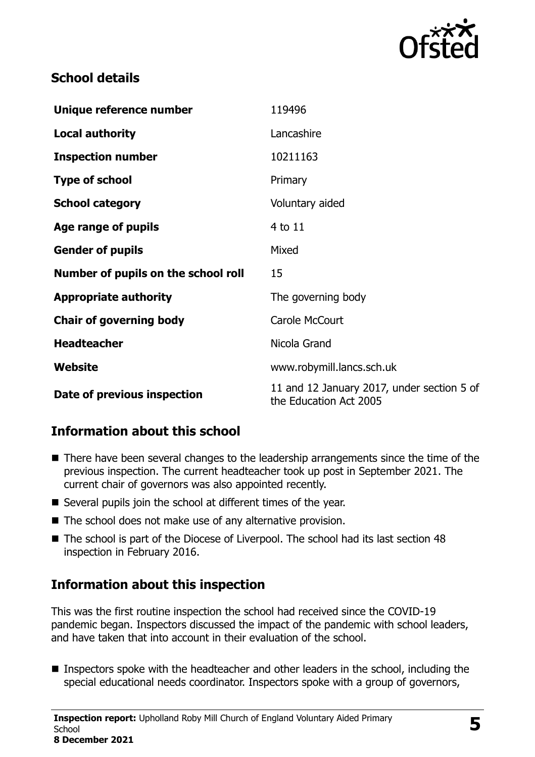

#### **School details**

| Unique reference number             | 119496                                                               |
|-------------------------------------|----------------------------------------------------------------------|
| <b>Local authority</b>              | Lancashire                                                           |
| <b>Inspection number</b>            | 10211163                                                             |
| <b>Type of school</b>               | Primary                                                              |
| <b>School category</b>              | Voluntary aided                                                      |
| Age range of pupils                 | 4 to 11                                                              |
| <b>Gender of pupils</b>             | Mixed                                                                |
| Number of pupils on the school roll | 15                                                                   |
| <b>Appropriate authority</b>        | The governing body                                                   |
| <b>Chair of governing body</b>      | Carole McCourt                                                       |
| <b>Headteacher</b>                  | Nicola Grand                                                         |
| <b>Website</b>                      | www.robymill.lancs.sch.uk                                            |
| Date of previous inspection         | 11 and 12 January 2017, under section 5 of<br>the Education Act 2005 |

# **Information about this school**

- There have been several changes to the leadership arrangements since the time of the previous inspection. The current headteacher took up post in September 2021. The current chair of governors was also appointed recently.
- Several pupils join the school at different times of the year.
- The school does not make use of any alternative provision.
- The school is part of the Diocese of Liverpool. The school had its last section 48 inspection in February 2016.

# **Information about this inspection**

This was the first routine inspection the school had received since the COVID-19 pandemic began. Inspectors discussed the impact of the pandemic with school leaders, and have taken that into account in their evaluation of the school.

**Inspectors spoke with the headteacher and other leaders in the school, including the** special educational needs coordinator. Inspectors spoke with a group of governors,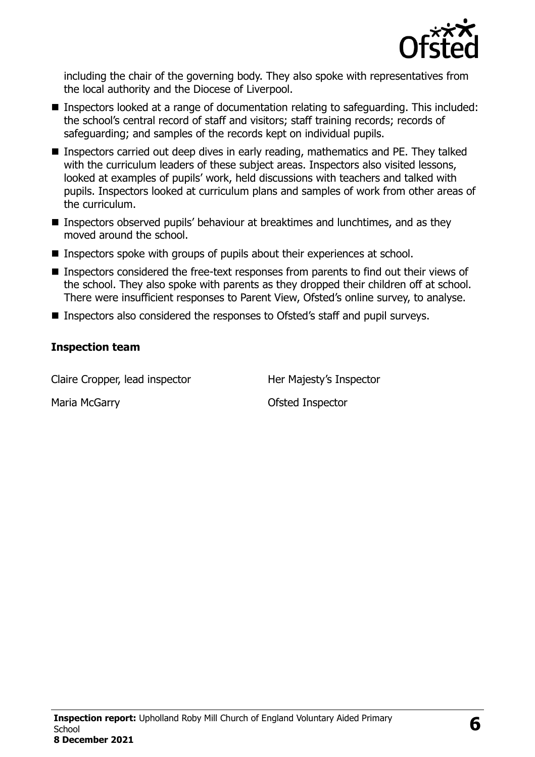

including the chair of the governing body. They also spoke with representatives from the local authority and the Diocese of Liverpool.

- Inspectors looked at a range of documentation relating to safeguarding. This included: the school's central record of staff and visitors; staff training records; records of safeguarding; and samples of the records kept on individual pupils.
- **Inspectors carried out deep dives in early reading, mathematics and PE. They talked** with the curriculum leaders of these subject areas. Inspectors also visited lessons, looked at examples of pupils' work, held discussions with teachers and talked with pupils. Inspectors looked at curriculum plans and samples of work from other areas of the curriculum.
- Inspectors observed pupils' behaviour at breaktimes and lunchtimes, and as they moved around the school.
- Inspectors spoke with groups of pupils about their experiences at school.
- $\blacksquare$  Inspectors considered the free-text responses from parents to find out their views of the school. They also spoke with parents as they dropped their children off at school. There were insufficient responses to Parent View, Ofsted's online survey, to analyse.
- Inspectors also considered the responses to Ofsted's staff and pupil surveys.

#### **Inspection team**

Claire Cropper, lead inspector Her Majesty's Inspector

Maria McGarry **Carry Contract Accord Maria McGarry** Ofsted Inspector